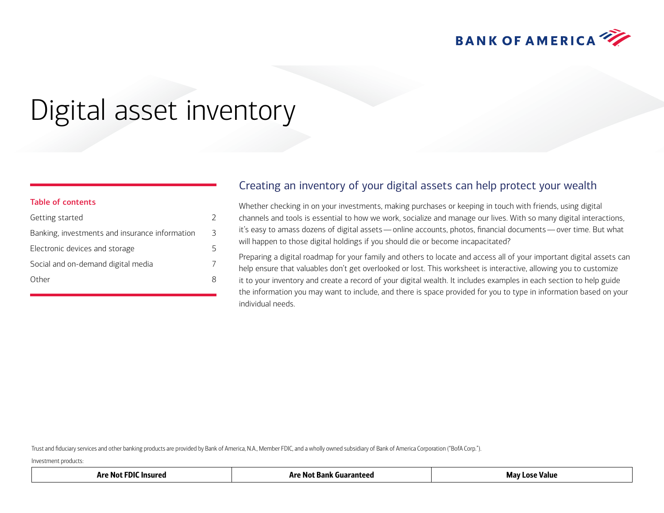

# Digital asset inventory

| Table of contents                              |   |
|------------------------------------------------|---|
| Getting started                                | C |
| Banking, investments and insurance information | 3 |
| Electronic devices and storage                 | 5 |
| Social and on-demand digital media             | 7 |
| Other                                          | R |
|                                                |   |

#### Creating an inventory of your digital assets can help protect your wealth

Whether checking in on your investments, making purchases or keeping in touch with friends, using digital channels and tools is essential to how we work, socialize and manage our lives. With so many digital interactions, it's easy to amass dozens of digital assets—online accounts, photos, financial documents—over time. But what will happen to those digital holdings if you should die or become incapacitated?

Preparing a digital roadmap for your family and others to locate and access all of your important digital assets can help ensure that valuables don't get overlooked or lost. This worksheet is interactive, allowing you to customize it to your inventory and create a record of your digital wealth. It includes examples in each section to help guide the information you may want to include, and there is space provided for you to type in information based on your individual needs.

Trust and fiduciary services and other banking products are provided by Bank of America, N.A., Member FDIC, and a wholly owned subsidiary of Bank of America Corporation ("BofA Corp.").

Investment products:

<span id="page-0-0"></span>Table of contents

| Insured<br>M 16<br>m<br>. . | 11 v<br>NO.<br>--<br>ллш. | Value<br>ular - |
|-----------------------------|---------------------------|-----------------|
|-----------------------------|---------------------------|-----------------|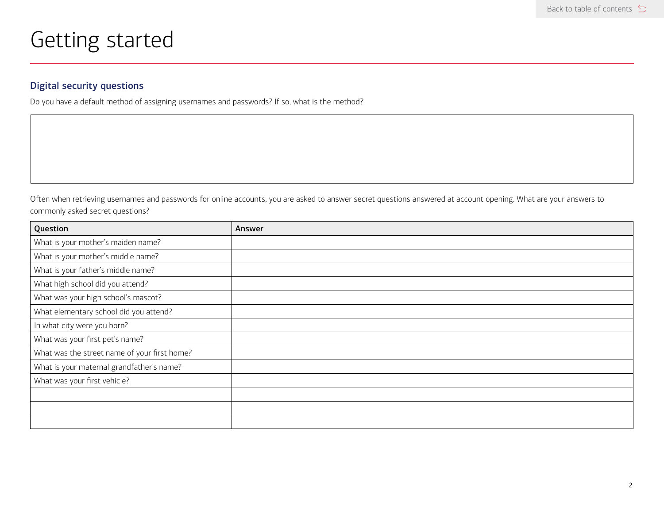## <span id="page-1-0"></span>Getting started

#### Digital security questions

Do you have a default method of assigning usernames and passwords? If so, what is the method?

Often when retrieving usernames and passwords for online accounts, you are asked to answer secret questions answered at account opening. What are your answers to commonly asked secret questions?

| Question                                     | Answer |
|----------------------------------------------|--------|
| What is your mother's maiden name?           |        |
| What is your mother's middle name?           |        |
| What is your father's middle name?           |        |
| What high school did you attend?             |        |
| What was your high school's mascot?          |        |
| What elementary school did you attend?       |        |
| In what city were you born?                  |        |
| What was your first pet's name?              |        |
| What was the street name of your first home? |        |
| What is your maternal grandfather's name?    |        |
| What was your first vehicle?                 |        |
|                                              |        |
|                                              |        |
|                                              |        |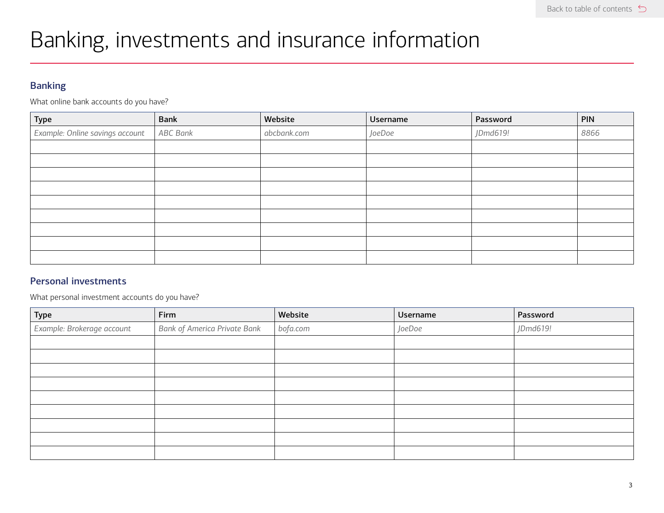## <span id="page-2-0"></span>Banking, investments and insurance information

#### Banking

What online bank accounts do you have?

| Type                            | <b>Bank</b> | Website     | Username | Password | <b>PIN</b> |
|---------------------------------|-------------|-------------|----------|----------|------------|
| Example: Online savings account | ABC Bank    | abcbank.com | JoeDoe   | JDmd619! | 8866       |
|                                 |             |             |          |          |            |
|                                 |             |             |          |          |            |
|                                 |             |             |          |          |            |
|                                 |             |             |          |          |            |
|                                 |             |             |          |          |            |
|                                 |             |             |          |          |            |
|                                 |             |             |          |          |            |
|                                 |             |             |          |          |            |
|                                 |             |             |          |          |            |

#### Personal investments

What personal investment accounts do you have?

| Type                       | Firm                                | Website  | Username | Password |
|----------------------------|-------------------------------------|----------|----------|----------|
| Example: Brokerage account | <b>Bank of America Private Bank</b> | bofa.com | JoeDoe   | JDmd619! |
|                            |                                     |          |          |          |
|                            |                                     |          |          |          |
|                            |                                     |          |          |          |
|                            |                                     |          |          |          |
|                            |                                     |          |          |          |
|                            |                                     |          |          |          |
|                            |                                     |          |          |          |
|                            |                                     |          |          |          |
|                            |                                     |          |          |          |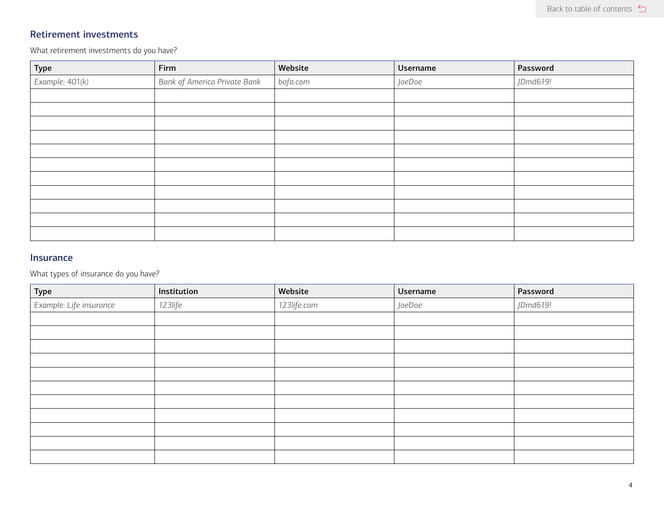#### Retirement investments

What retirement investments do you have?

| Type            | Firm                                | Website  | Username | Password |
|-----------------|-------------------------------------|----------|----------|----------|
| Example: 401(k) | <b>Bank of America Private Bank</b> | bofa.com | JoeDoe   | JDmd619! |
|                 |                                     |          |          |          |
|                 |                                     |          |          |          |
|                 |                                     |          |          |          |
|                 |                                     |          |          |          |
|                 |                                     |          |          |          |
|                 |                                     |          |          |          |
|                 |                                     |          |          |          |
|                 |                                     |          |          |          |
|                 |                                     |          |          |          |
|                 |                                     |          |          |          |
|                 |                                     |          |          |          |

#### Insurance

What types of insurance do you have?

| Type                    | Institution | Website     | Username | Password |
|-------------------------|-------------|-------------|----------|----------|
| Example: Life insurance | 123life     | 123life.com | JoeDoe   | JDmd619! |
|                         |             |             |          |          |
|                         |             |             |          |          |
|                         |             |             |          |          |
|                         |             |             |          |          |
|                         |             |             |          |          |
|                         |             |             |          |          |
|                         |             |             |          |          |
|                         |             |             |          |          |
|                         |             |             |          |          |
|                         |             |             |          |          |
|                         |             |             |          |          |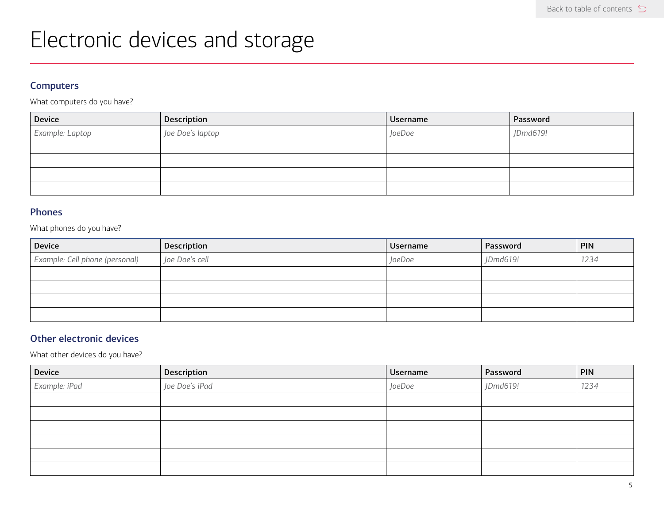## <span id="page-4-0"></span>Electronic devices and storage

#### **Computers**

What computers do you have?

| Device          | Description      | Username | Password |
|-----------------|------------------|----------|----------|
| Example: Laptop | Joe Doe's laptop | JoeDoe   | JDmd619! |
|                 |                  |          |          |
|                 |                  |          |          |
|                 |                  |          |          |
|                 |                  |          |          |

#### Phones

What phones do you have?

| <b>Device</b>                  | Description    | Username | Password | <b>PIN</b> |
|--------------------------------|----------------|----------|----------|------------|
| Example: Cell phone (personal) | Joe Doe's cell | JoeDoe   | JDmd619! | 1234       |
|                                |                |          |          |            |
|                                |                |          |          |            |
|                                |                |          |          |            |
|                                |                |          |          |            |

#### Other electronic devices

What other devices do you have?

| Device        | Description    | Username | Password | <b>PIN</b> |
|---------------|----------------|----------|----------|------------|
| Example: iPad | Joe Doe's iPad | JoeDoe   | JDmd619! | 1234       |
|               |                |          |          |            |
|               |                |          |          |            |
|               |                |          |          |            |
|               |                |          |          |            |
|               |                |          |          |            |
|               |                |          |          |            |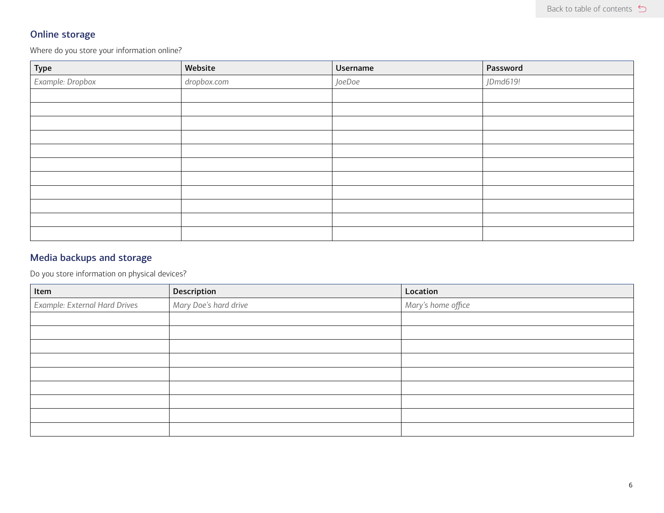#### Online storage

Where do you store your information online?

| Type             | Website     | Username | Password |
|------------------|-------------|----------|----------|
| Example: Dropbox | dropbox.com | JoeDoe   | JDmd619! |
|                  |             |          |          |
|                  |             |          |          |
|                  |             |          |          |
|                  |             |          |          |
|                  |             |          |          |
|                  |             |          |          |
|                  |             |          |          |
|                  |             |          |          |
|                  |             |          |          |
|                  |             |          |          |
|                  |             |          |          |

#### Media backups and storage

Do you store information on physical devices?

| Item                          | Description           | Location           |
|-------------------------------|-----------------------|--------------------|
| Example: External Hard Drives | Mary Doe's hard drive | Mary's home office |
|                               |                       |                    |
|                               |                       |                    |
|                               |                       |                    |
|                               |                       |                    |
|                               |                       |                    |
|                               |                       |                    |
|                               |                       |                    |
|                               |                       |                    |
|                               |                       |                    |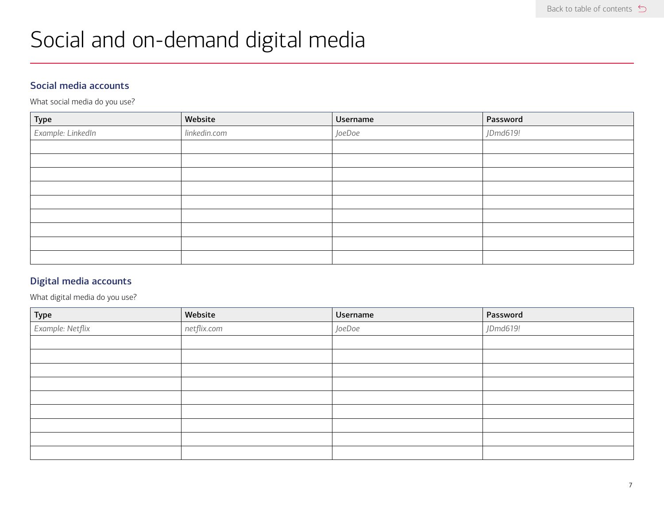## <span id="page-6-0"></span>Social and on-demand digital media

#### Social media accounts

What social media do you use?

| Type              | Website      | Username | Password |
|-------------------|--------------|----------|----------|
| Example: LinkedIn | linkedin.com | JoeDoe   | JDmd619! |
|                   |              |          |          |
|                   |              |          |          |
|                   |              |          |          |
|                   |              |          |          |
|                   |              |          |          |
|                   |              |          |          |
|                   |              |          |          |
|                   |              |          |          |
|                   |              |          |          |

#### Digital media accounts

What digital media do you use?

| Type             | Website     | Username | Password |
|------------------|-------------|----------|----------|
| Example: Netflix | netflix.com | JoeDoe   | JDmd619! |
|                  |             |          |          |
|                  |             |          |          |
|                  |             |          |          |
|                  |             |          |          |
|                  |             |          |          |
|                  |             |          |          |
|                  |             |          |          |
|                  |             |          |          |
|                  |             |          |          |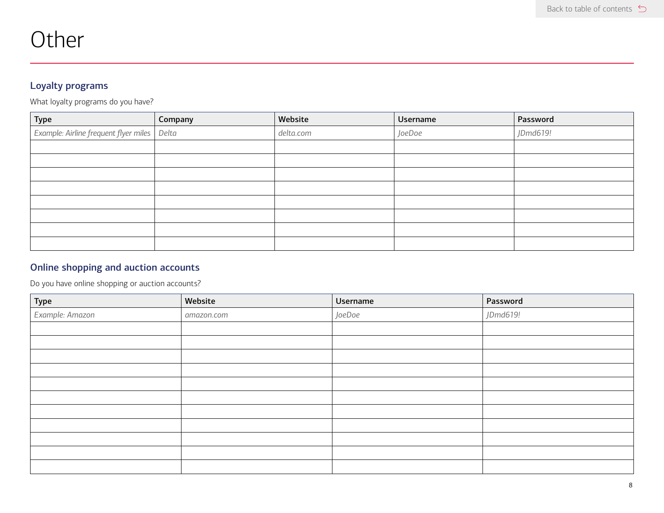<span id="page-7-0"></span>

|  | Other |  |
|--|-------|--|
|  |       |  |

#### Loyalty programs

What loyalty programs do you have?

| Type                                          | Company | Website   | Username | Password |
|-----------------------------------------------|---------|-----------|----------|----------|
| Example: Airline frequent flyer miles   Delta |         | delta.com | JoeDoe   | JDmd619! |
|                                               |         |           |          |          |
|                                               |         |           |          |          |
|                                               |         |           |          |          |
|                                               |         |           |          |          |
|                                               |         |           |          |          |
|                                               |         |           |          |          |
|                                               |         |           |          |          |
|                                               |         |           |          |          |

#### Online shopping and auction accounts

Do you have online shopping or auction accounts?

| Type            | Website    | Username | Password |
|-----------------|------------|----------|----------|
| Example: Amazon | amazon.com | JoeDoe   | JDmd619! |
|                 |            |          |          |
|                 |            |          |          |
|                 |            |          |          |
|                 |            |          |          |
|                 |            |          |          |
|                 |            |          |          |
|                 |            |          |          |
|                 |            |          |          |
|                 |            |          |          |
|                 |            |          |          |
|                 |            |          |          |